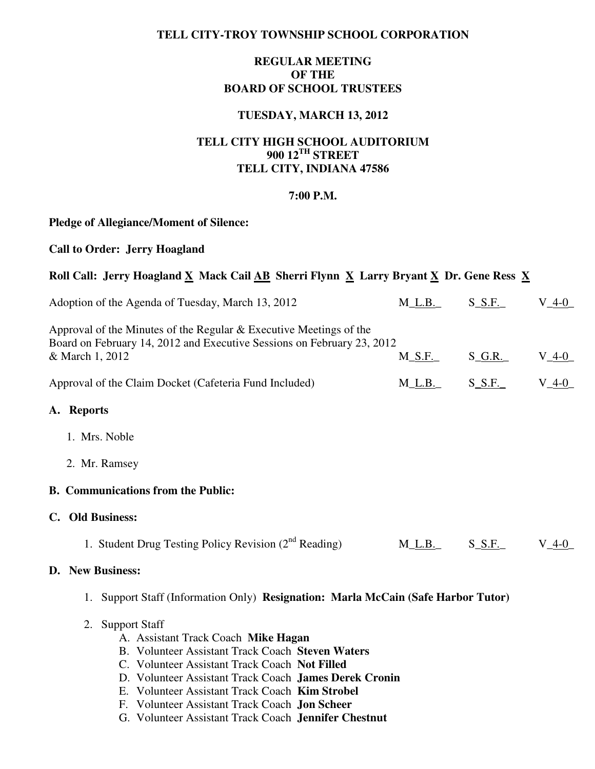### **TELL CITY-TROY TOWNSHIP SCHOOL CORPORATION**

### **REGULAR MEETING OF THE BOARD OF SCHOOL TRUSTEES**

#### **TUESDAY, MARCH 13, 2012**

# **TELL CITY HIGH SCHOOL AUDITORIUM 900 12TH STREET TELL CITY, INDIANA 47586**

#### **7:00 P.M.**

## **Pledge of Allegiance/Moment of Silence:**

#### **Call to Order: Jerry Hoagland**

## Roll Call: Jerry Hoagland X Mack Cail AB Sherri Flynn X Larry Bryant X Dr. Gene Ress X

| Adoption of the Agenda of Tuesday, March 13, 2012                                                                                                                                                                                                                                                                                  | $M_L.B.$    | $S_S.F.$  | $V_4 - 0$ |  |  |  |  |  |  |
|------------------------------------------------------------------------------------------------------------------------------------------------------------------------------------------------------------------------------------------------------------------------------------------------------------------------------------|-------------|-----------|-----------|--|--|--|--|--|--|
| Approval of the Minutes of the Regular $&$ Executive Meetings of the<br>Board on February 14, 2012 and Executive Sessions on February 23, 2012<br>& March 1, 2012                                                                                                                                                                  |             |           |           |  |  |  |  |  |  |
|                                                                                                                                                                                                                                                                                                                                    | $M_S.F.$    | $S_G.R.$  | $V_4-0$   |  |  |  |  |  |  |
| $V_4-0$<br>$S_S.F.$<br>Approval of the Claim Docket (Cafeteria Fund Included)<br>$M_L.B_{-}$                                                                                                                                                                                                                                       |             |           |           |  |  |  |  |  |  |
| A. Reports                                                                                                                                                                                                                                                                                                                         |             |           |           |  |  |  |  |  |  |
| 1. Mrs. Noble                                                                                                                                                                                                                                                                                                                      |             |           |           |  |  |  |  |  |  |
| 2. Mr. Ramsey                                                                                                                                                                                                                                                                                                                      |             |           |           |  |  |  |  |  |  |
| <b>B.</b> Communications from the Public:                                                                                                                                                                                                                                                                                          |             |           |           |  |  |  |  |  |  |
| C. Old Business:                                                                                                                                                                                                                                                                                                                   |             |           |           |  |  |  |  |  |  |
| 1. Student Drug Testing Policy Revision (2 <sup>nd</sup> Reading)                                                                                                                                                                                                                                                                  | $M_L.B_{-}$ | $S\_S.F.$ | $V_4 - 0$ |  |  |  |  |  |  |
| D. New Business:                                                                                                                                                                                                                                                                                                                   |             |           |           |  |  |  |  |  |  |
| Support Staff (Information Only) Resignation: Marla McCain (Safe Harbor Tutor)<br>1.                                                                                                                                                                                                                                               |             |           |           |  |  |  |  |  |  |
| <b>Support Staff</b><br>2.<br>A. Assistant Track Coach Mike Hagan<br>B. Volunteer Assistant Track Coach Steven Waters<br>C. Volunteer Assistant Track Coach Not Filled<br>D. Volunteer Assistant Track Coach James Derek Cronin<br>E. Volunteer Assistant Track Coach Kim Strobel<br>F. Volunteer Assistant Track Coach Jon Scheer |             |           |           |  |  |  |  |  |  |

G. Volunteer Assistant Track Coach **Jennifer Chestnut**